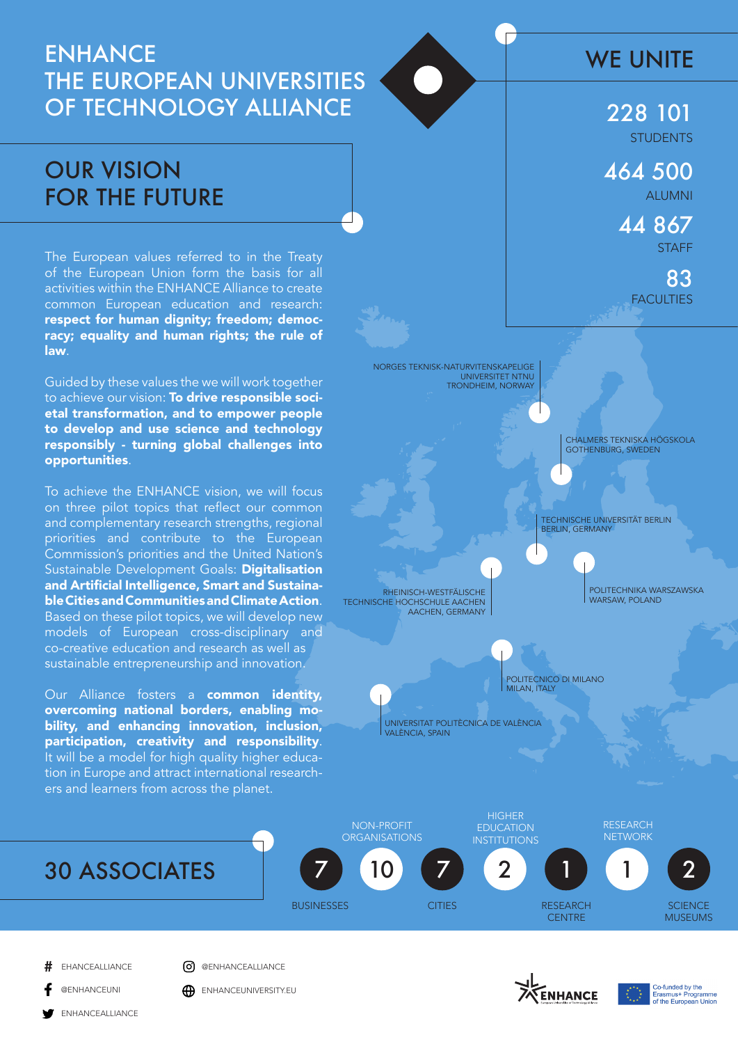# **ENHANCE** THE EUROPEAN UNIVERSITIES OF TECHNOLOGY ALLIANCE

# OUR VISION FOR THE FUTURE

The European values referred to in the Treaty of the European Union form the basis for all activities within the ENHANCE Alliance to create common European education and research: respect for human dignity; freedom; democracy; equality and human rights; the rule of law.

Guided by these values the we will work together to achieve our vision: To drive responsible societal transformation, and to empower people to develop and use science and technology responsibly - turning global challenges into opportunities.

To achieve the ENHANCE vision, we will focus on three pilot topics that reflect our common and complementary research strengths, regional priorities and contribute to the European Commission's priorities and the United Nation's Sustainable Development Goals: Digitalisation and Artificial Intelligence, Smart and Sustainable Cities and Communities and Climate Action. Based on these pilot topics, we will develop new models of European cross-disciplinary and co-creative education and research as well as sustainable entrepreneurship and innovation.

Our Alliance fosters a common identity, overcoming national borders, enabling mobility, and enhancing innovation, inclusion, participation, creativity and responsibility. It will be a model for high quality higher education in Europe and attract international researchers and learners from across the planet.





**EHANCEALLIANCE** 

**O** @ENHANCEALLIANCE

**@ENHANCEUNI A** ENHANCEUNIVERSITY.EU

ENHANCEALLIANCE







### WE UNITE

**STUDENTS** 228 101